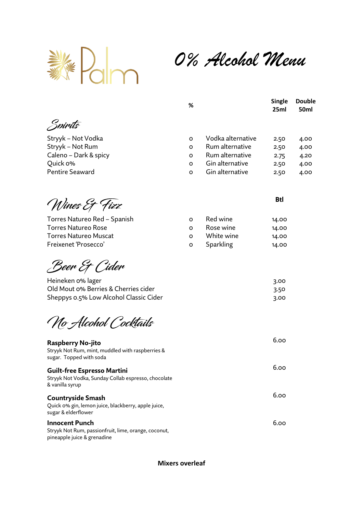

*0% Alcohol Menu*

|                        | % |                   | <b>Single</b><br>25ml | <b>Double</b><br>50ml |
|------------------------|---|-------------------|-----------------------|-----------------------|
| Spirits                |   |                   |                       |                       |
| Stryyk - Not Vodka     | O | Vodka alternative | 2.50                  | 4.00                  |
| Stryyk - Not Rum       | O | Rum alternative   | 2.50                  | 4.00                  |
| Caleno - Dark & spicy  | O | Rum alternative   | 2.75                  | 4.20                  |
| Quick o%               | O | Gin alternative   | 2.50                  | 4.00                  |
| <b>Pentire Seaward</b> | O | Gin alternative   | 2.50                  | 4.00                  |

Wines Et Fizz

Torres Natureo Red - Spanish Torres Natureo Rose Torres Natureo Muscat Freixenet 'Prosecco'

Beer Et Cider

Heineken 0% lager Old Mout 0% Berries & Sheppys 0.5% Low Alc

# No Alcohol Cocktails

## **Raspberry No-jito**

Stryyk Not Rum, mint, muddled with raspberries & sugar. Topped with soda

| Guilt-free Espresso Martini                         |
|-----------------------------------------------------|
| Stryyk Not Vodka, Sunday Collab espresso, chocolate |
| & vanilla syrup                                     |
|                                                     |

### **Countryside Smash**

Quick 0% gin, lemon juice, blackberry, apple juice, sugar & elderflower

#### **Innocent Punch**

Stryyk Not Rum, passionfruit, lime, orange, coconut, pineapple juice & grenadine

#### **Btl**

6.00

6.00

| Red wine   | 14.00 |
|------------|-------|
| Rose wine  | 14.00 |
| White wine | 14.00 |
| Sparkling  | 14.00 |
|            |       |

|                    | 3.00 |
|--------------------|------|
| ، Cherries cider   | 3.50 |
| ohol Classic Cider | 3.00 |
|                    |      |

| 6.00 |
|------|
| 6.00 |

**Mixers overleaf**